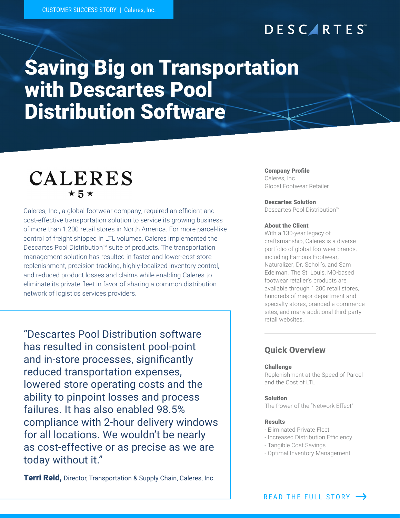## **DESCARTES**

# Saving Big on Transportation with Descartes Pool Distribution Software

## **CALERES**  $\star$  5  $\star$

Caleres, Inc., a global footwear company, required an efficient and cost-effective transportation solution to service its growing business of more than 1,200 retail stores in North America. For more parcel-like control of freight shipped in LTL volumes, Caleres implemented the Descartes Pool Distribution™ suite of products. The transportation management solution has resulted in faster and lower-cost store replenishment, precision tracking, highly-localized inventory control, and reduced product losses and claims while enabling Caleres to eliminate its private fleet in favor of sharing a common distribution network of logistics services providers.

"Descartes Pool Distribution software has resulted in consistent pool-point and in-store processes, significantly reduced transportation expenses, lowered store operating costs and the ability to pinpoint losses and process failures. It has also enabled 98.5% compliance with 2-hour delivery windows for all locations. We wouldn't be nearly as cost-effective or as precise as we are today without it."

**Terri Reid, Director, Transportation & Supply Chain, Caleres, Inc.** 

#### Company Profile

Caleres, Inc. Global Footwear Retailer

#### Descartes Solution

Descartes Pool Distribution™

#### About the Client

With a 130-year legacy of craftsmanship, Caleres is a diverse portfolio of global footwear brands, including Famous Footwear, Naturalizer, Dr. Scholl's, and Sam Edelman. The St. Louis, MO-based footwear retailer's products are available through 1,200 retail stores, hundreds of major department and specialty stores, branded e-commerce sites, and many additional third-party retail websites.

### Quick Overview

#### Challenge

Replenishment at the Speed of Parcel and the Cost of LTL

#### Solution

The Power of the "Network Effect"

#### Results

- Eliminated Private Fleet
- Increased Distribution Efficiency
- Tangible Cost Savings
- Optimal Inventory Management